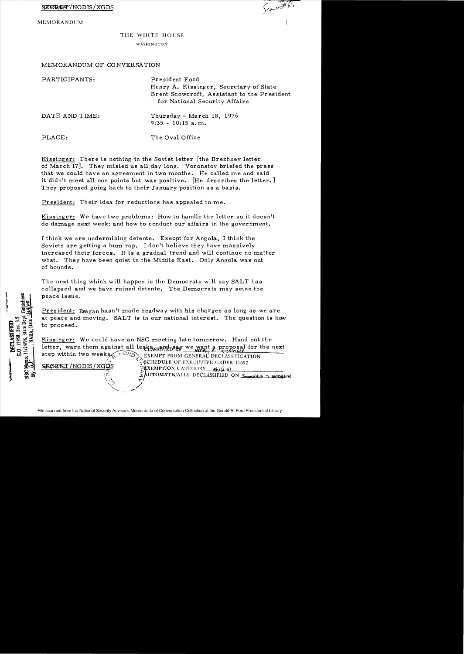MEMORANDUM

1/24/98, State Dep O. 12958, Sec. 3.5 **DECLASSIFIED** 

Scanwith his

## THE WHITE HOUSE

WASHINGTON

## MEMORANDUM OF CO NVERSATION

| PARTICIPANTS:  | President Ford<br>Henry A. Kissinger, Secretary of State<br>Brent Scowcroft, Assistant to the President<br>for National Security Affairs |
|----------------|------------------------------------------------------------------------------------------------------------------------------------------|
| DATE AND TIME: | Thursday - March 18, 1976<br>$9:35 - 10:15$ a.m.                                                                                         |
| PLACE:         | The Oval Office                                                                                                                          |

Kissinger: There is nothing in the Soviet letter [the Brezhnev letter of March 17]. They misled us all day long. Voronstov briefed the press that we could have an agreement in two months. He called me and said it didn't meet all our points but was positive. [He describes the letter.] They proposed going back to their January position as a basis.

President: Their idea for reductions has appealed to me.

Kissinger: We have two problems: How to handle the letter so it doesn't do damage next week; and how to conduct our affairs in the government.

I think we are undermining detente. Execpt for Angola, I think the Soviets are getting a bum rap. I don't believe they have massively increas ed their forces. It is a gradual trend and will continue no matter what. They have been quiet in the Middle East. Only Angola was out of bounds.

The next thing which will happen is the Democrats will say SALT has collapsed and we have ruined detente. The Democrats may seize the peace is sue.

President: Reagan hasn't made headway with his charges as long as we are at peace and moving. SALT is in our national interest. The question is how to proceed.

Kissinger: We could have an NSC meeting late tomorrow. Hand out the letter, warn them against all leaks sand say we want a proposal for the next<br>step within two weeks

step within two weeks exercises exercise within two weeks exercises exercise exercises and the exercise of EXECUTIVE GRDER 11652 ~SCHEDULE OF EXECUTIVE GRDER 11652<br><sup>@</sup>EXEMPTION CATEGORY\_\_\_*5*{\{*{-3*}  $\sim$ AUTOMATICALLY DECLASSIFIED ON Impossible To persequine

 $\mathbb{Q}$  ,  $\mathbb{Z}$ --.~ /'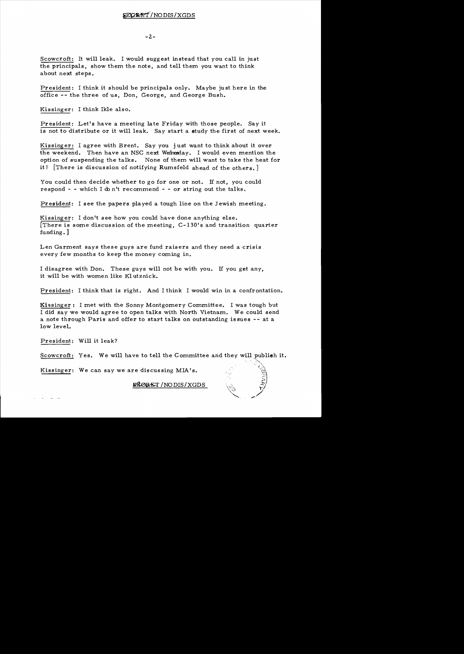## SECRET/NODIS/XGDS

 $-2-$ 

Scowcroft: It will leak. I would suggest instead that you call in just the principals, show them the note, and tell them you want to think about next steps.

President: I think it should be principals only. Maybe just here in the office -- the three of us, Don, George, and George Bush.

Kissinger: I think Ikle also.

President: Let's have a meeting late Friday with those people. Say it is not to distribute or it will leak. Say start a study the first of next week.

Kissinger: I agree with Brent. Say you just want to think about it over the weekend. Then have an NSC next Wednesday. I would even mention the option of suspending the talks. None of them will want to take the heat for it! [There is discussion of notifying Rumsfeld ahead of the others.]

You could then decide whether to go for one or not. If not, you could respond - - which I do n't recommend - - or string out the talks.

President: I see the papers played a tough line on the Jewish meeting.

Kissinger: I don't see how you could have done anything else. There is some discussion of the meeting,  $C-130$ 's and transition quarter funding. ]

Len Garment says these guys are fund raisers and they need a crisis every few months to keep the money coming in.

I disagree with Don. These guys will not be with you. If you get any, it will be with women like KI utznick.

President: I think that is right. And I think I would win in a confrontation.

Kissinger.: I met with the Sonny Montgomery Committee. I was tough but I did say we would agree to open talks with North Vietnam. We could send a note through Paris and offer to start talks on outstanding issues -- at a low level.

President: Will it leak?

Scowcroft: Yes. We will have to tell the Committee and they will publish it.

Kissinger: We can say we are discussing MIA's.

*SHORET* / NODIS / XGDS

 $\mathcal{P}_{\mathcal{P}_{\mathcal{P}}}$ 

 $\mathcal{U}^{\ast}$  $\geq$   $\frac{1}{2}$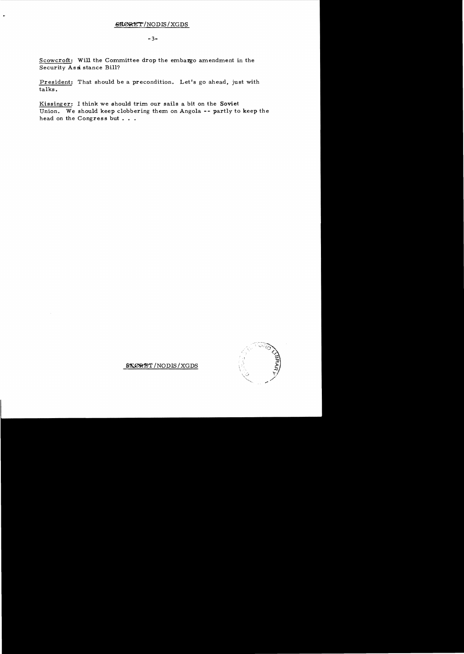$-3-$ 

Scowcroft: Will the Committee drop the embargo amendment in the Security Assistance Bill?

President: That should be a precondition. Let's go ahead, just with talks.

Kissinger: I think we should trim our sails a bit on the Soviet Union. We should keep clobbering them on Angola -- partly to keep the head on the Congress but . . .



STORET/NODIS/XGDS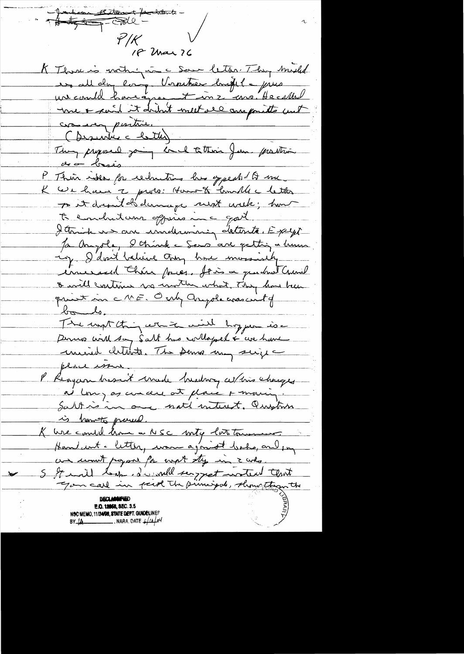-Josephson Ribbourt factathents - $\mathscr{S}/\mathcal{K}$ 18 Mar 76 K Thin is mothing in a Some letter. They might ur could have int metter highle pries crossing positive. C Descritiu = lette)<br>They proposed joint de latterie June prostain de ce brais P. Their ideas for reductions has generally of me K We have a proto: How to landle letter point drapid d'adernière subst unels; hont te embutant oppera inc god I think we are underwising detente. Except Ja Ample, 8 chine = Sens are getting a huma ing I don't believe they have mussicity increased thin pries. It is a quicket Council o will cartinus so unter what They has been print in ME, Only Anyde was with  $t_{\infty}$ The want thing white will hoppen is a Dernes with say Salt has collopel & we have union chtente. The serve un suix place issue P. Reagan hasn't made heading at his changes ai long as concere at place + moving. Saltin one not interest. Question is how to presel. K ure could kom a NSC mity latetourne Hamburt - letter, ware agonist backs, and in an won't popor for wort sty in z who. S It will leap d'unell surpret water that  $\blacktriangleright$ **E.O. 12058, SEC. 3.5** NSC MEMO, 11/24/98, STATE DEPT. GUNDELINES  $BY \rightarrow \bullet$  . NARA DATE  $\rightarrow \prime$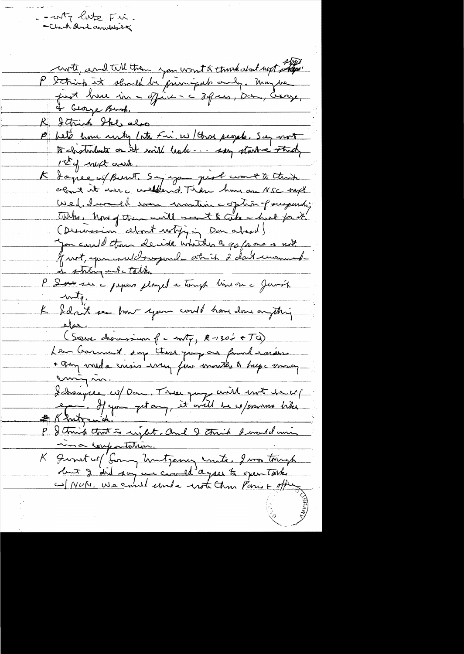unte, und tell them you won't to think about next the.<br>P String it stand be principal and , unique R Strick Ske also 10 beté home untry late Fin, w / Char people. See not 1-5 of what crank. K dagree of Burnt, Sayingan pigt wort to think Wed. I would some wonting coption of suspending TWho, how of them will ment to like - head for it. (Descession celont writing Don about) you could than decide whith a go from a not front, you and dragund at it 2 don't unanish de string ont talk. P 2 sur sur à papers played a tough time on à James  $uvdt$ . K Idant en hunt your could have done anything  $_{\text{max}}$ (Sieux drainssiner f c m7, R-130's + TG)<br>Leur Cramment surp these jump au found taraens envigning Lebsayee co/Dan, Tree pays with met te cr/ # Khutzenich P & thing that is right, and I think I would win ma confortation. K Junit of Gong Unitgancy units, I was tough

- - wity lite Fire.